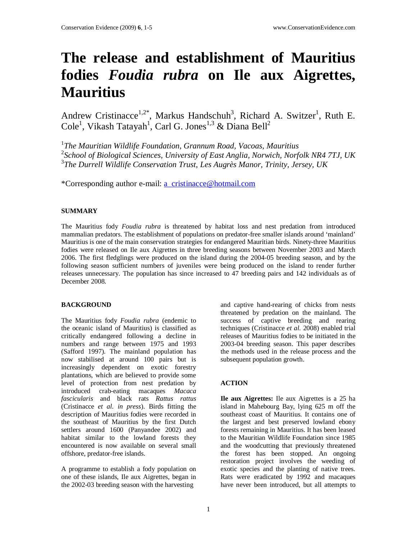# **The release and establishment of Mauritius fodies** *Foudia rubra* **on Ile aux Aigrettes, Mauritius**

Andrew Cristinacce<sup>1,2\*</sup>, Markus Handschuh<sup>3</sup>, Richard A. Switzer<sup>1</sup>, Ruth E.  $\mathrm{Cole}^1$ , Vikash Tatayah<sup>1</sup>, Carl G. Jones<sup>1,3</sup> & Diana Bell<sup>2</sup>

1 *The Mauritian Wildlife Foundation, Grannum Road, Vacoas, Mauritius*  2 *School of Biological Sciences, University of East Anglia, Norwich, Norfolk NR4 7TJ, UK*  3 *The Durrell Wildlife Conservation Trust, Les Augrès Manor, Trinity, Jersey, UK* 

\*Corresponding author e-mail: a\_cristinacce@hotmail.com

## **SUMMARY**

The Mauritius fody *Foudia rubra* is threatened by habitat loss and nest predation from introduced mammalian predators. The establishment of populations on predator-free smaller islands around 'mainland' Mauritius is one of the main conservation strategies for endangered Mauritian birds. Ninety-three Mauritius fodies were released on Ile aux Aigrettes in three breeding seasons between November 2003 and March 2006. The first fledglings were produced on the island during the 2004-05 breeding season, and by the following season sufficient numbers of juveniles were being produced on the island to render further releases unnecessary. The population has since increased to 47 breeding pairs and 142 individuals as of December 2008.

## **BACKGROUND**

The Mauritius fody *Foudia rubra* (endemic to the oceanic island of Mauritius) is classified as critically endangered following a decline in numbers and range between 1975 and 1993 (Safford 1997). The mainland population has now stabilised at around 100 pairs but is increasingly dependent on exotic forestry plantations, which are believed to provide some level of protection from nest predation by introduced crab-eating macaques *Macaca fascicularis* and black rats *Rattus rattus* (Cristinacce *et al. in press*). Birds fitting the description of Mauritius fodies were recorded in the southeast of Mauritius by the first Dutch settlers around 1600 (Panyandee 2002) and habitat similar to the lowland forests they encountered is now available on several small offshore, predator-free islands.

A programme to establish a fody population on one of these islands, Ile aux Aigrettes, began in the 2002-03 breeding season with the harvesting

and captive hand-rearing of chicks from nests threatened by predation on the mainland. The success of captive breeding and rearing techniques (Cristinacce *et al.* 2008) enabled trial releases of Mauritius fodies to be initiated in the 2003-04 breeding season. This paper describes the methods used in the release process and the subsequent population growth.

## **ACTION**

**Ile aux Aigrettes:** Ile aux Aigrettes is a 25 ha island in Mahebourg Bay, lying 625 m off the southeast coast of Mauritius. It contains one of the largest and best preserved lowland ebony forests remaining in Mauritius. It has been leased to the Mauritian Wildlife Foundation since 1985 and the woodcutting that previously threatened the forest has been stopped. An ongoing restoration project involves the weeding of exotic species and the planting of native trees. Rats were eradicated by 1992 and macaques have never been introduced, but all attempts to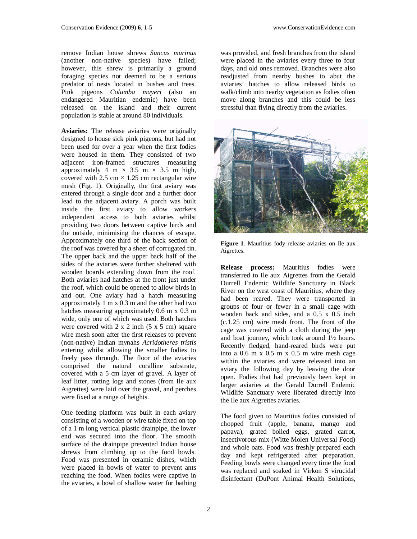remove Indian house shrews *Suncus murinus*  (another non-native species) have failed; however, this shrew is primarily a ground foraging species not deemed to be a serious predator of nests located in bushes and trees. Pink pigeons *Columba mayeri* (also an endangered Mauritian endemic) have been released on the island and their current population is stable at around 80 individuals.

**Aviaries:** The release aviaries were originally designed to house sick pink pigeons, but had not been used for over a year when the first fodies were housed in them. They consisted of two adjacent iron-framed structures measuring approximately 4 m  $\times$  3.5 m  $\times$  3.5 m high, covered with 2.5 cm  $\times$  1.25 cm rectangular wire mesh (Fig. 1). Originally, the first aviary was entered through a single door and a further door lead to the adjacent aviary. A porch was built inside the first aviary to allow workers independent access to both aviaries whilst providing two doors between captive birds and the outside, minimising the chances of escape. Approximately one third of the back section of the roof was covered by a sheet of corrugated tin. The upper back and the upper back half of the sides of the aviaries were further sheltered with wooden boards extending down from the roof. Both aviaries had hatches at the front just under the roof, which could be opened to allow birds in and out. One aviary had a hatch measuring approximately 1 m x 0.3 m and the other had two hatches measuring approximately 0.6 m x 0.3 m wide, only one of which was used. Both hatches were covered with  $2 \times 2$  inch  $(5 \times 5 \text{ cm})$  square wire mesh soon after the first releases to prevent (non-native) Indian mynahs *Acridotheres tristis* entering whilst allowing the smaller fodies to freely pass through. The floor of the aviaries comprised the natural coralline substrate, covered with a 5 cm layer of gravel. A layer of leaf litter, rotting logs and stones (from Ile aux Aigrettes) were laid over the gravel, and perches were fixed at a range of heights.

One feeding platform was built in each aviary consisting of a wooden or wire table fixed on top of a 1 m long vertical plastic drainpipe, the lower end was secured into the floor. The smooth surface of the drainpipe prevented Indian house shrews from climbing up to the food bowls. Food was presented in ceramic dishes, which were placed in bowls of water to prevent ants reaching the food. When fodies were captive in the aviaries, a bowl of shallow water for bathing was provided, and fresh branches from the island were placed in the aviaries every three to four days, and old ones removed. Branches were also readjusted from nearby bushes to abut the aviaries' hatches to allow released birds to walk/climb into nearby vegetation as fodies often move along branches and this could be less stressful than flying directly from the aviaries.



**Figure 1**. Mauritius fody release aviaries on Ile aux Aigrettes.

**Release process:** Mauritius fodies were transferred to Ile aux Aigrettes from the Gerald Durrell Endemic Wildlife Sanctuary in Black River on the west coast of Mauritius, where they had been reared. They were transported in groups of four or fewer in a small cage with wooden back and sides, and a 0.5 x 0.5 inch (c.1.25 cm) wire mesh front. The front of the cage was covered with a cloth during the jeep and boat journey, which took around 1½ hours. Recently fledged, hand-reared birds were put into a 0.6 m x 0.5 m x 0.5 m wire mesh cage within the aviaries and were released into an aviary the following day by leaving the door open. Fodies that had previously been kept in larger aviaries at the Gerald Durrell Endemic Wildlife Sanctuary were liberated directly into the Ile aux Aigrettes aviaries.

The food given to Mauritius fodies consisted of chopped fruit (apple, banana, mango and papaya), grated boiled eggs, grated carrot, insectivorous mix (Witte Molen Universal Food) and whole oats. Food was freshly prepared each day and kept refrigerated after preparation. Feeding bowls were changed every time the food was replaced and soaked in Virkon S virucidal disinfectant (DuPont Animal Health Solutions,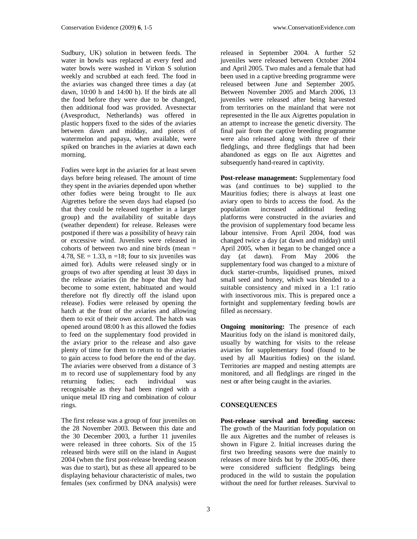Sudbury, UK) solution in between feeds. The water in bowls was replaced at every feed and water bowls were washed in Virkon S solution weekly and scrubbed at each feed. The food in the aviaries was changed three times a day (at dawn, 10:00 h and 14:00 h). If the birds ate all the food before they were due to be changed, then additional food was provided. Avesnectar (Avesproduct, Netherlands) was offered in plastic hoppers fixed to the sides of the aviaries between dawn and midday, and pieces of watermelon and papaya, when available, were spiked on branches in the aviaries at dawn each morning.

Fodies were kept in the aviaries for at least seven days before being released. The amount of time they spent in the aviaries depended upon whether other fodies were being brought to Ile aux Aigrettes before the seven days had elapsed (so that they could be released together in a larger group) and the availability of suitable days (weather dependent) for release. Releases were postponed if there was a possibility of heavy rain or excessive wind. Juveniles were released in cohorts of between two and nine birds (mean  $=$ 4.78,  $SE = 1.33$ ,  $n = 18$ ; four to six juveniles was aimed for). Adults were released singly or in groups of two after spending at least 30 days in the release aviaries (in the hope that they had become to some extent, habituated and would therefore not fly directly off the island upon release). Fodies were released by opening the hatch at the front of the aviaries and allowing them to exit of their own accord. The hatch was opened around 08:00 h as this allowed the fodies to feed on the supplementary food provided in the aviary prior to the release and also gave plenty of time for them to return to the aviaries to gain access to food before the end of the day. The aviaries were observed from a distance of 3 m to record use of supplementary food by any returning fodies; each individual was recognisable as they had been ringed with a unique metal ID ring and combination of colour rings.

The first release was a group of four juveniles on the 28 November 2003. Between this date and the 30 December 2003, a further 11 juveniles were released in three cohorts. Six of the 15 released birds were still on the island in August 2004 (when the first post-release breeding season was due to start), but as these all appeared to be displaying behaviour characteristic of males, two females (sex confirmed by DNA analysis) were

released in September 2004. A further 52 juveniles were released between October 2004 and April 2005. Two males and a female that had been used in a captive breeding programme were released between June and September 2005. Between November 2005 and March 2006, 13 juveniles were released after being harvested from territories on the mainland that were not represented in the Ile aux Aigrettes population in an attempt to increase the genetic diversity. The final pair from the captive breeding programme were also released along with three of their fledglings, and three fledglings that had been abandoned as eggs on Ile aux Aigrettes and subsequently hand-reared in captivity.

**Post-release management:** Supplementary food was (and continues to be) supplied to the Mauritius fodies; there is always at least one aviary open to birds to access the food. As the population increased additional feeding additional platforms were constructed in the aviaries and the provision of supplementary food became less labour intensive. From April 2004, food was changed twice a day (at dawn and midday) until April 2005, when it began to be changed once a day (at dawn). From May 2006 the supplementary food was changed to a mixture of duck starter-crumbs, liquidised prunes, mixed small seed and honey, which was blended to a suitable consistency and mixed in a 1:1 ratio with insectivorous mix. This is prepared once a fortnight and supplementary feeding bowls are filled as necessary.

**Ongoing monitoring:** The presence of each Mauritius fody on the island is monitored daily, usually by watching for visits to the release aviaries for supplementary food (found to be used by all Mauritius fodies) on the island. Territories are mapped and nesting attempts are monitored, and all fledglings are ringed in the nest or after being caught in the aviaries.

## **CONSEQUENCES**

**Post-release survival and breeding success:** The growth of the Mauritian fody population on Ile aux Aigrettes and the number of releases is shown in Figure 2. Initial increases during the first two breeding seasons were due mainly to releases of more birds but by the 2005-06, there were considered sufficient fledglings being produced in the wild to sustain the population without the need for further releases. Survival to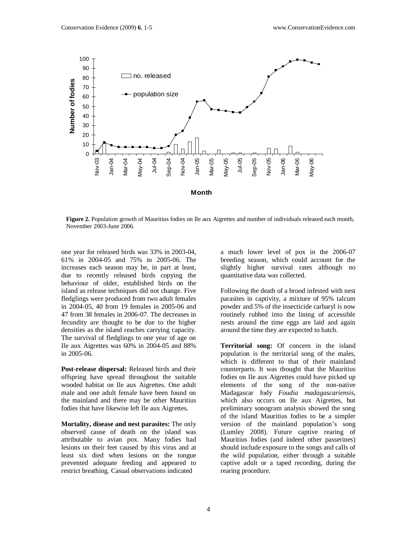

**Figure 2.** Population growth of Mauritius fodies on Ile aux Aigrettes and number of individuals released each month, November 2003-June 2006.

one year for released birds was 33% in 2003-04, 61% in 2004-05 and 75% in 2005-06. The increases each season may be, in part at least, due to recently released birds copying the behaviour of older, established birds on the island as release techniques did not change. Five fledglings were produced from two adult females in 2004-05, 40 from 19 females in 2005-06 and 47 from 38 females in 2006-07. The decreases in fecundity are thought to be due to the higher densities as the island reaches carrying capacity. The survival of fledglings to one year of age on Ile aux Aigrettes was 60% in 2004-05 and 88% in 2005-06.

**Post-release dispersal:** Released birds and their offspring have spread throughout the suitable wooded habitat on Ile aux Aigrettes. One adult male and one adult female have been found on the mainland and there may be other Mauritius fodies that have likewise left Ile aux Aigrettes.

**Mortality, disease and nest parasites:** The only observed cause of death on the island was attributable to avian pox. Many fodies had lesions on their feet caused by this virus and at least six died when lesions on the tongue prevented adequate feeding and appeared to restrict breathing. Casual observations indicated

a much lower level of pox in the 2006-07 breeding season, which could account for the slightly higher survival rates although no quantitative data was collected.

Following the death of a brood infested with nest parasites in captivity, a mixture of 95% talcum powder and 5% of the insecticide carbaryl is now routinely rubbed into the lining of accessible nests around the time eggs are laid and again around the time they are expected to hatch.

**Territorial song:** Of concern in the island population is the territorial song of the males, which is different to that of their mainland counterparts. It was thought that the Mauritius fodies on Ile aux Aigrettes could have picked up elements of the song of the non-native Madagascar fody *Foudia madagascariensis,*  which also occurs on Ile aux Aigrettes, but preliminary sonogram analysis showed the song of the island Mauritius fodies to be a simpler version of the mainland population's song (Lumley 2008). Future captive rearing of Mauritius fodies (and indeed other passerines) should include exposure to the songs and calls of the wild population, either through a suitable captive adult or a taped recording, during the rearing procedure.